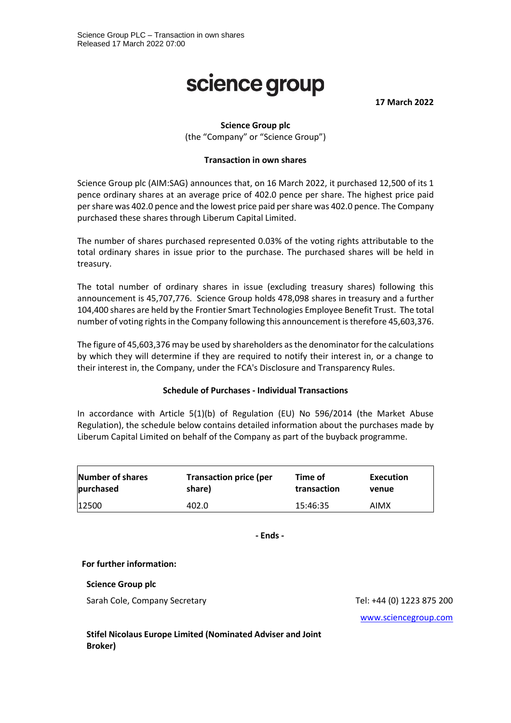# science group

**17 March 2022**

# **Science Group plc**

(the "Company" or "Science Group")

#### **Transaction in own shares**

Science Group plc (AIM:SAG) announces that, on 16 March 2022, it purchased 12,500 of its 1 pence ordinary shares at an average price of 402.0 pence per share. The highest price paid per share was 402.0 pence and the lowest price paid per share was 402.0 pence. The Company purchased these shares through Liberum Capital Limited.

The number of shares purchased represented 0.03% of the voting rights attributable to the total ordinary shares in issue prior to the purchase. The purchased shares will be held in treasury.

The total number of ordinary shares in issue (excluding treasury shares) following this announcement is 45,707,776. Science Group holds 478,098 shares in treasury and a further 104,400 shares are held by the Frontier Smart Technologies Employee Benefit Trust. The total number of voting rights in the Company following this announcement is therefore 45,603,376.

The figure of 45,603,376 may be used by shareholders as the denominator for the calculations by which they will determine if they are required to notify their interest in, or a change to their interest in, the Company, under the FCA's Disclosure and Transparency Rules.

### **Schedule of Purchases - Individual Transactions**

In accordance with Article 5(1)(b) of Regulation (EU) No 596/2014 (the Market Abuse Regulation), the schedule below contains detailed information about the purchases made by Liberum Capital Limited on behalf of the Company as part of the buyback programme.

| Number of shares | <b>Transaction price (per</b> | Time of     | Execution |
|------------------|-------------------------------|-------------|-----------|
| purchased        | share)                        | transaction | venue     |
| 12500            | 402.0                         | 15:46:35    | AIMX      |

**- Ends -**

### **For further information:**

**Science Group plc**

Sarah Cole, Company Secretary Tel: +44 (0) 1223 875 200

[www.sciencegroup.com](http://www.sciencegroup.com/)

**Stifel Nicolaus Europe Limited (Nominated Adviser and Joint Broker)**